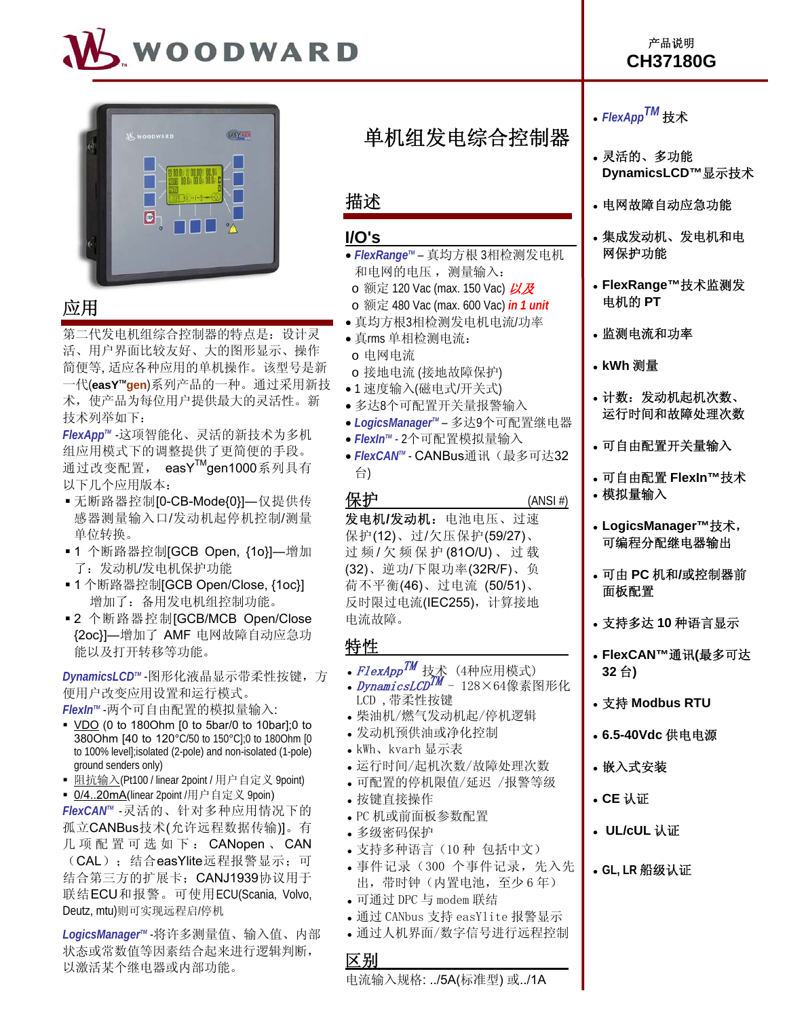

## 产品说明 **CH37180G**



## 应用

第二代发电机组综合控制器的特点是:设计灵 活、用户界面比较友好、大的图形显示、操作 简便等, 适应各种应用的单机操作。该型号是新 一代(easY<sup>m</sup>gen)系列产品的一种。通过采用新技 术,使产品为每位用户提供最大的灵活性。新 技术列举如下:

*FlexAppTM* -这项智能化、灵活的新技术为多机 组应用模式下的调整提供了更简便的手段。 通过改变配置, easYTMgen1000系列具有 以下几个应用版本:

- 无断路器控制[0-CB-Mode{0}]—仅提供传 感器测量输入口/发动机起停机控制/测量 单位转换。
- 1 个断路器控制[GCB Open, {1o}]—增加 了:发动机/发电机保护功能
- 1 个断路器控制[GCB Open/Close, {1oc}] 增加了:备用发电机组控制功能。
- 2 个断路器控制[GCB/MCB Open/Close {2oc}]―增加了 AMF 电网故障自动应急功 能以及打开转移等功能。

*DynamicsLCDTM* -图形化液晶显示带柔性按键,方 便用户改变应用设置和运行模式。 *FlexInTM* -两个可自由配置的模拟量输入:

- VDO (0 to 1800hm [0 to 5bar/0 to 10bar];0 to 380Ohm [40 to 120°C/50 to 150°C];0 to 180Ohm [0 to 100% level];isolated (2-pole) and non-isolated (1-pole) ground senders only)
- 阻抗输入(Pt100 / linear 2point / 用户自定义 9point)
- 0/4..20mA(linear 2point /用户自定义 9poin)

*FlexCANTM* -灵活的、针对多种应用情况下的 孤立CANBus技术(允许远程数据传输)]。有 几项配置可选如下: CANopen 、 CAN (CAL);结合easYlite远程报警显示;可 结合第三方的扩展卡;CANJ1939协议用于 联结ECU和报警。可使用ECU(Scania, Volvo, Deutz, mtu)则可实现远程启/停机

LogicsManager<sup>™</sup> -将许多测量值、输入值、内部 状态或常数值等因素结合起来进行逻辑判断, 以激活某个继电器或内部功能。

# 单机组发电综合控制器

## 描述

### **I/O's**

- *FlexRange<sup>m</sup>* 真均方根 3相检测发电机 和电网的电压 ,测量输入: o 额定 120 Vac (max. 150 Vac)  $\cancel{U} \cancel{K}$
- o 额定 480 Vac (max. 600 Vac) *in 1 unit*
- 真均方根3相检测发电机电流/功率
- 真rms 单相检测电流: o 电网电流
- o 接地电流 (接地故障保护)
- 1 速度输入(磁电式/开关式)
- 多达8个可配置开关量报警输入
- *LogicsManagerTM* 多达9个可配置继电器
- *FlexInTM* 2个可配置模拟量输入
- FlexCAN™ CANBus通讯(最多可达32 台)

### $\mathbb{R}$ 护 (ANSI #)

发电机**/**发动机:电池电压、过速 保护(12)、过/欠压保护(59/27)、 过频/欠频保护(81O/U)、过载 (32)、逆功/下限功率(32R/F)、负 荷不平衡(46)、过电流 (50/51)、 反时限过电流(IEC255),计算接地 电流故障。

### 特性

- FlexApp $^{T\!M}$ 技术 (4种应用模式)
	- DynamicsLCD $^{TM}$  128×64像素图形化 LCD ,带柔性按键
- 柴油机/燃气发动机起/停机逻辑
- 发动机预供油或净化控制
- kWh、kvarh 显示表
- 运行时间/起机次数/故障处理次数
- <sup>z</sup>可配置的停机限值/延迟 /报警等级
- <sup>z</sup>按键直接操作
- PC 机或前面板参数配置
- 多级密码保护
- <sup>z</sup>支持多种语言(10 种 包括中文)
- <sup>z</sup>事件记录(300 个事件记录,先入先 出,带时钟(内置电池,至少 6 年)
- 可通过 DPC 与 modem 联结
- 通过 CANbus 支持 easYlite 报警显示
- <sup>z</sup>通过人机界面/数字信号进行远程控制

### 区别

电流输入规格: ../5A(标准型) 或../1A

- <sup>z</sup>*FlexAppTM* 技术
- <sup>z</sup>灵活的、多功能 **DynamicsLCD™**显示技术
- 电网故障自动应急功能
- 集成发动机、发电机和电 网保护功能
- <sup>z</sup>**FlexRange™**技术监测发 电机的 **PT**
- <sup>z</sup>监测电流和功率
- <sup>z</sup>**kWh** 测量
- 计数: 发动机起机次数、 运行时间和故障处理次数
- 可自由配置开关量输入
- **•可自由配置 FlexIn™技术**
- <sup>z</sup>模拟量输入
- <sup>z</sup>**LogicsManager™**技术, 可编程分配继电器输出
- <sup>z</sup>可由 **PC** 机和**/**或控制器前 面板配置
- <sup>z</sup>支持多达 **10** 种语言显示
- <sup>z</sup>**FlexCAN™**通讯**(**最多可达 **32** 台**)**
- <sup>z</sup>支持 **Modbus RTU**
- <sup>z</sup>**6.5-40Vdc** 供电电源
- <sup>z</sup>嵌入式安装
- <sup>z</sup>**CE** 认证
- <sup>z</sup>**UL/cUL** 认证
- z **GL, LR** 船级认证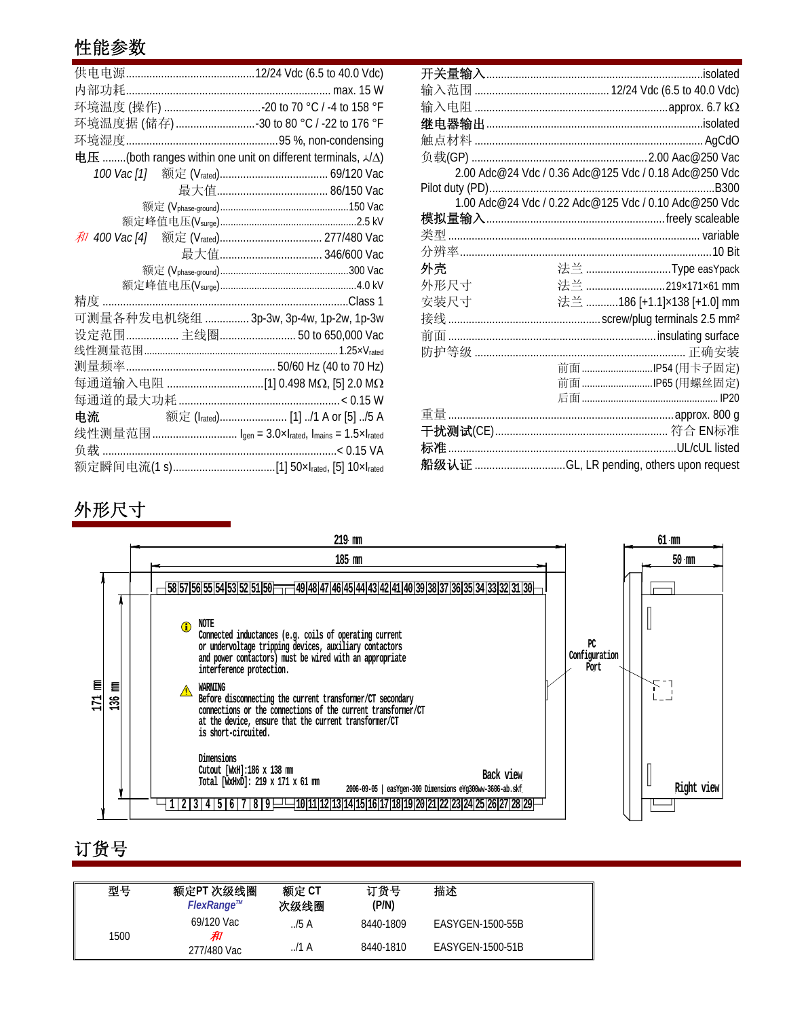## 性能参数

|    | 环境温度据 (储存) 30 to 80 °C / -22 to 176 °F                                     |
|----|----------------------------------------------------------------------------|
|    |                                                                            |
|    | 电压 (both ranges within one unit on different terminals, $\lambda/\Delta$ ) |
|    |                                                                            |
|    |                                                                            |
|    |                                                                            |
|    |                                                                            |
|    |                                                                            |
|    |                                                                            |
|    |                                                                            |
|    |                                                                            |
|    |                                                                            |
|    | 可测量各种发电机绕组  3p-3w, 3p-4w, 1p-2w, 1p-3w                                     |
|    |                                                                            |
|    |                                                                            |
|    |                                                                            |
|    | 每通道输入电阻 [1] 0.498 ΜΩ, [5] 2.0 ΜΩ                                           |
|    |                                                                            |
| 电流 |                                                                            |
|    | 线性测量范围 Igen = 3.0×Irated, Imains = 1.5×Irated                              |
|    |                                                                            |
|    |                                                                            |

|      | 2.00 Adc@24 Vdc / 0.36 Adc@125 Vdc / 0.18 Adc@250 Vdc |
|------|-------------------------------------------------------|
|      |                                                       |
|      | 1.00 Adc@24 Vdc / 0.22 Adc@125 Vdc / 0.10 Adc@250 Vdc |
|      |                                                       |
|      |                                                       |
|      |                                                       |
| 外壳   | 法兰 Type easYpack                                      |
| 外形尺寸 | 法兰 219×171×61 mm                                      |
| 安装尺寸 | 法兰 186 [+1.1]×138 [+1.0] mm                           |
|      |                                                       |
|      |                                                       |
|      |                                                       |
|      | 前面IP54 (用卡子固定)                                        |
|      | 前面IP65 (用螺丝固定)                                        |
|      |                                                       |
|      |                                                       |
|      |                                                       |
|      |                                                       |
|      | 船级认证 GL, LR pending, others upon request              |

# 外形尺寸



# 订货号

| 型号   | 额定PT 次级线圈<br>$FlexRange^{m}$ | 额定 CT<br>次级线圈 | 订货号<br>(P/N) | 描述               |
|------|------------------------------|---------------|--------------|------------------|
|      | 69/120 Vac                   | /5 A          | 8440-1809    | EASYGEN-1500-55B |
| 1500 | 和<br>277/480 Vac             | /1 A          | 8440-1810    | EASYGEN-1500-51B |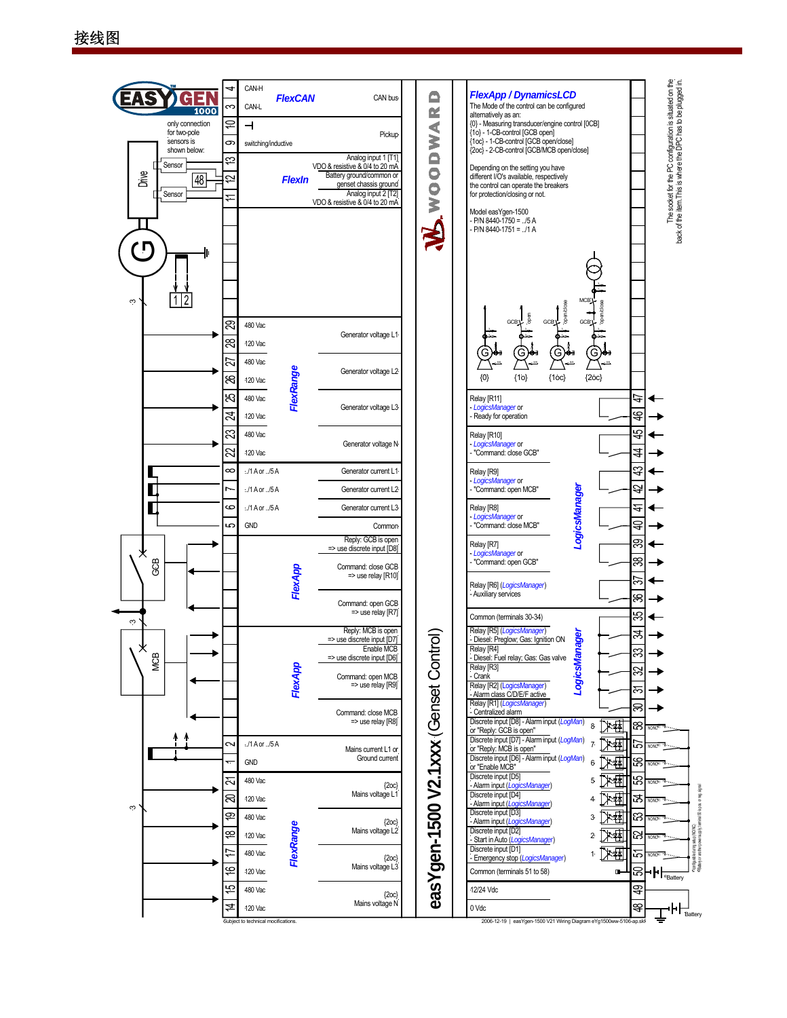